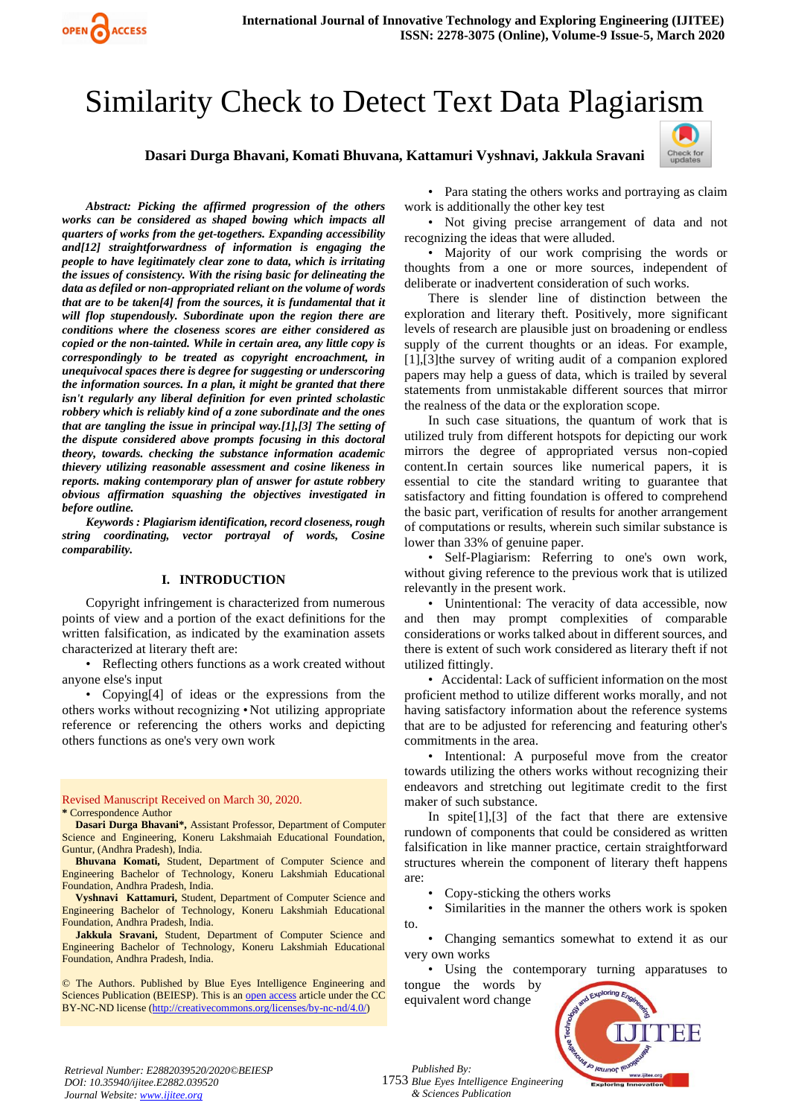# Similarity Check to Detect Text Data Plagiarism

#### **Dasari Durga Bhavani, Komati Bhuvana, Kattamuri Vyshnavi, Jakkula Sravani**



*Abstract: Picking the affirmed progression of the others works can be considered as shaped bowing which impacts all quarters of works from the get-togethers. Expanding accessibility and[12] straightforwardness of information is engaging the people to have legitimately clear zone to data, which is irritating the issues of consistency. With the rising basic for delineating the data as defiled or non-appropriated reliant on the volume of words that are to be taken[4] from the sources, it is fundamental that it will flop stupendously. Subordinate upon the region there are conditions where the closeness scores are either considered as copied or the non-tainted. While in certain area, any little copy is correspondingly to be treated as copyright encroachment, in unequivocal spaces there is degree for suggesting or underscoring the information sources. In a plan, it might be granted that there isn't regularly any liberal definition for even printed scholastic robbery which is reliably kind of a zone subordinate and the ones that are tangling the issue in principal way.[1],[3] The setting of the dispute considered above prompts focusing in this doctoral theory, towards. checking the substance information academic thievery utilizing reasonable assessment and cosine likeness in reports. making contemporary plan of answer for astute robbery obvious affirmation squashing the objectives investigated in before outline.*

OPEN CACCESS

*Keywords : Plagiarism identification, record closeness, rough string coordinating, vector portrayal of words, Cosine comparability.*

#### **I. INTRODUCTION**

Copyright infringement is characterized from numerous points of view and a portion of the exact definitions for the written falsification, as indicated by the examination assets characterized at literary theft are:

• Reflecting others functions as a work created without anyone else's input

• Copying[4] of ideas or the expressions from the others works without recognizing •Not utilizing appropriate reference or referencing the others works and depicting others functions as one's very own work

Revised Manuscript Received on March 30, 2020. **\*** Correspondence Author

**Dasari Durga Bhavani\*,** Assistant Professor, Department of Computer Science and Engineering, Koneru Lakshmaiah Educational Foundation, Guntur, (Andhra Pradesh), India.

**Bhuvana Komati,** Student, Department of Computer Science and Engineering Bachelor of Technology, Koneru Lakshmiah Educational Foundation, Andhra Pradesh, India.

**Vyshnavi Kattamuri,** Student, Department of Computer Science and Engineering Bachelor of Technology, Koneru Lakshmiah Educational Foundation, Andhra Pradesh, India.

**Jakkula Sravani,** Student, Department of Computer Science and Engineering Bachelor of Technology, Koneru Lakshmiah Educational Foundation, Andhra Pradesh, India.

© The Authors. Published by Blue Eyes Intelligence Engineering and Sciences Publication (BEIESP). This is a[n open access](https://www.openaccess.nl/en/open-publications) article under the CC BY-NC-ND license [\(http://creativecommons.org/licenses/by-nc-nd/4.0/\)](http://creativecommons.org/licenses/by-nc-nd/4.0/)

• Para stating the others works and portraying as claim work is additionally the other key test

• Not giving precise arrangement of data and not recognizing the ideas that were alluded.

• Majority of our work comprising the words or thoughts from a one or more sources, independent of deliberate or inadvertent consideration of such works.

There is slender line of distinction between the exploration and literary theft. Positively, more significant levels of research are plausible just on broadening or endless supply of the current thoughts or an ideas. For example, [1],[3]the survey of writing audit of a companion explored papers may help a guess of data, which is trailed by several statements from unmistakable different sources that mirror the realness of the data or the exploration scope.

In such case situations, the quantum of work that is utilized truly from different hotspots for depicting our work mirrors the degree of appropriated versus non-copied content.In certain sources like numerical papers, it is essential to cite the standard writing to guarantee that satisfactory and fitting foundation is offered to comprehend the basic part, verification of results for another arrangement of computations or results, wherein such similar substance is lower than 33% of genuine paper.

• Self-Plagiarism: Referring to one's own work, without giving reference to the previous work that is utilized relevantly in the present work.

• Unintentional: The veracity of data accessible, now and then may prompt complexities of comparable considerations or works talked about in different sources, and there is extent of such work considered as literary theft if not utilized fittingly.

• Accidental: Lack of sufficient information on the most proficient method to utilize different works morally, and not having satisfactory information about the reference systems that are to be adjusted for referencing and featuring other's commitments in the area.

• Intentional: A purposeful move from the creator towards utilizing the others works without recognizing their endeavors and stretching out legitimate credit to the first maker of such substance.

In spite[1],[3] of the fact that there are extensive rundown of components that could be considered as written falsification in like manner practice, certain straightforward structures wherein the component of literary theft happens are:

• Copy-sticking the others works

Similarities in the manner the others work is spoken to.

• Changing semantics somewhat to extend it as our very own works

• Using the contemporary turning apparatuses to tongue the words by

equivalent word change



*Retrieval Number: E2882039520/2020©BEIESP DOI: 10.35940/ijitee.E2882.039520 Journal Website[: www.ijitee.org](http://www.ijitee.org/)*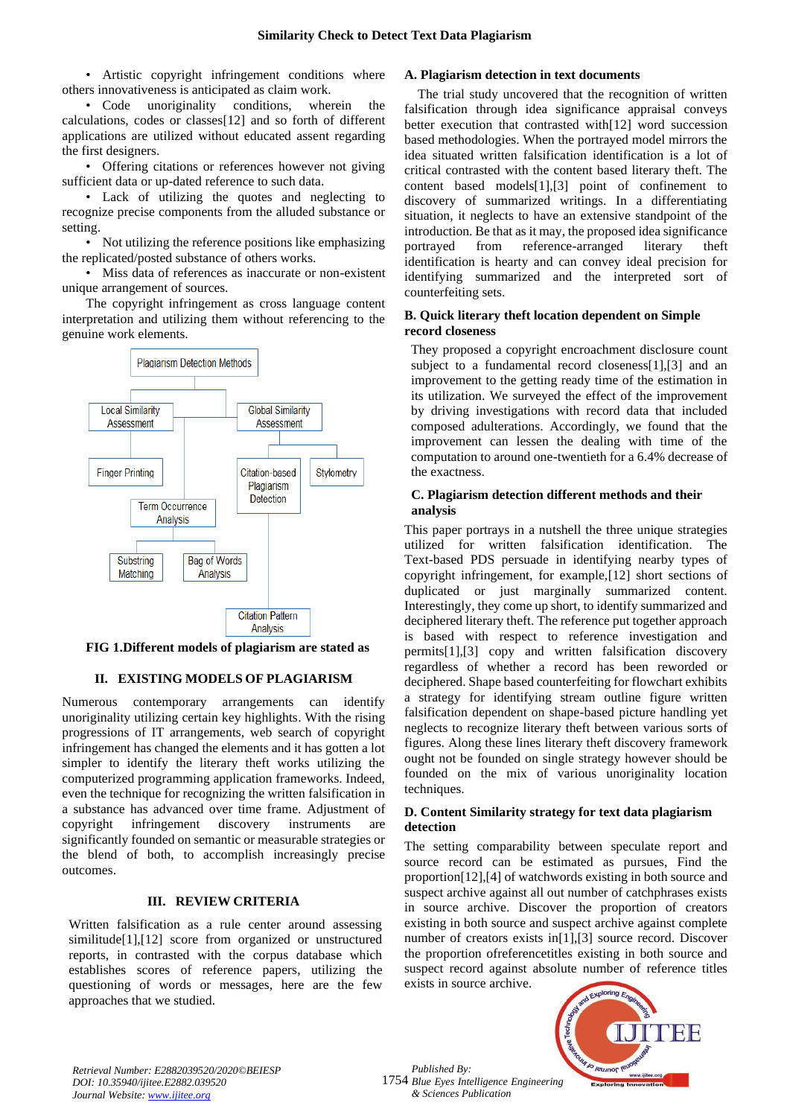• Artistic copyright infringement conditions where others innovativeness is anticipated as claim work.

• Code unoriginality conditions, wherein the calculations, codes or classes[12] and so forth of different applications are utilized without educated assent regarding the first designers.

• Offering citations or references however not giving sufficient data or up-dated reference to such data.

• Lack of utilizing the quotes and neglecting to recognize precise components from the alluded substance or setting.

• Not utilizing the reference positions like emphasizing the replicated/posted substance of others works.

• Miss data of references as inaccurate or non-existent unique arrangement of sources.

The copyright infringement as cross language content interpretation and utilizing them without referencing to the genuine work elements.



**FIG 1.Different models of plagiarism are stated as**

# **II. EXISTING MODELS OF PLAGIARISM**

Numerous contemporary arrangements can identify unoriginality utilizing certain key highlights. With the rising progressions of IT arrangements, web search of copyright infringement has changed the elements and it has gotten a lot simpler to identify the literary theft works utilizing the computerized programming application frameworks. Indeed, even the technique for recognizing the written falsification in a substance has advanced over time frame. Adjustment of copyright infringement discovery instruments are significantly founded on semantic or measurable strategies or the blend of both, to accomplish increasingly precise outcomes.

## **III. REVIEW CRITERIA**

Written falsification as a rule center around assessing similitude[1],[12] score from organized or unstructured reports, in contrasted with the corpus database which establishes scores of reference papers, utilizing the questioning of words or messages, here are the few approaches that we studied.

#### **A. Plagiarism detection in text documents**

The trial study uncovered that the recognition of written falsification through idea significance appraisal conveys better execution that contrasted with[12] word succession based methodologies. When the portrayed model mirrors the idea situated written falsification identification is a lot of critical contrasted with the content based literary theft. The content based models[1],[3] point of confinement to discovery of summarized writings. In a differentiating situation, it neglects to have an extensive standpoint of the introduction. Be that as it may, the proposed idea significance portrayed from reference-arranged literary theft identification is hearty and can convey ideal precision for identifying summarized and the interpreted sort of counterfeiting sets.

## **B. Quick literary theft location dependent on Simple record closeness**

They proposed a copyright encroachment disclosure count subject to a fundamental record closeness[1],[3] and an improvement to the getting ready time of the estimation in its utilization. We surveyed the effect of the improvement by driving investigations with record data that included composed adulterations. Accordingly, we found that the improvement can lessen the dealing with time of the computation to around one-twentieth for a 6.4% decrease of the exactness.

## **C. Plagiarism detection different methods and their analysis**

This paper portrays in a nutshell the three unique strategies utilized for written falsification identification. The Text-based PDS persuade in identifying nearby types of copyright infringement, for example,[12] short sections of duplicated or just marginally summarized content. Interestingly, they come up short, to identify summarized and deciphered literary theft. The reference put together approach is based with respect to reference investigation and permits[1],[3] copy and written falsification discovery regardless of whether a record has been reworded or deciphered. Shape based counterfeiting for flowchart exhibits a strategy for identifying stream outline figure written falsification dependent on shape-based picture handling yet neglects to recognize literary theft between various sorts of figures. Along these lines literary theft discovery framework ought not be founded on single strategy however should be founded on the mix of various unoriginality location techniques.

## **D. Content Similarity strategy for text data plagiarism detection**

The setting comparability between speculate report and source record can be estimated as pursues, Find the proportion[12],[4] of watchwords existing in both source and suspect archive against all out number of catchphrases exists in source archive. Discover the proportion of creators existing in both source and suspect archive against complete number of creators exists in[1],[3] source record. Discover the proportion ofreferencetitles existing in both source and suspect record against absolute number of reference titles exists in source archive.



*Retrieval Number: E2882039520/2020©BEIESP DOI: 10.35940/ijitee.E2882.039520 Journal Website[: www.ijitee.org](http://www.ijitee.org/)*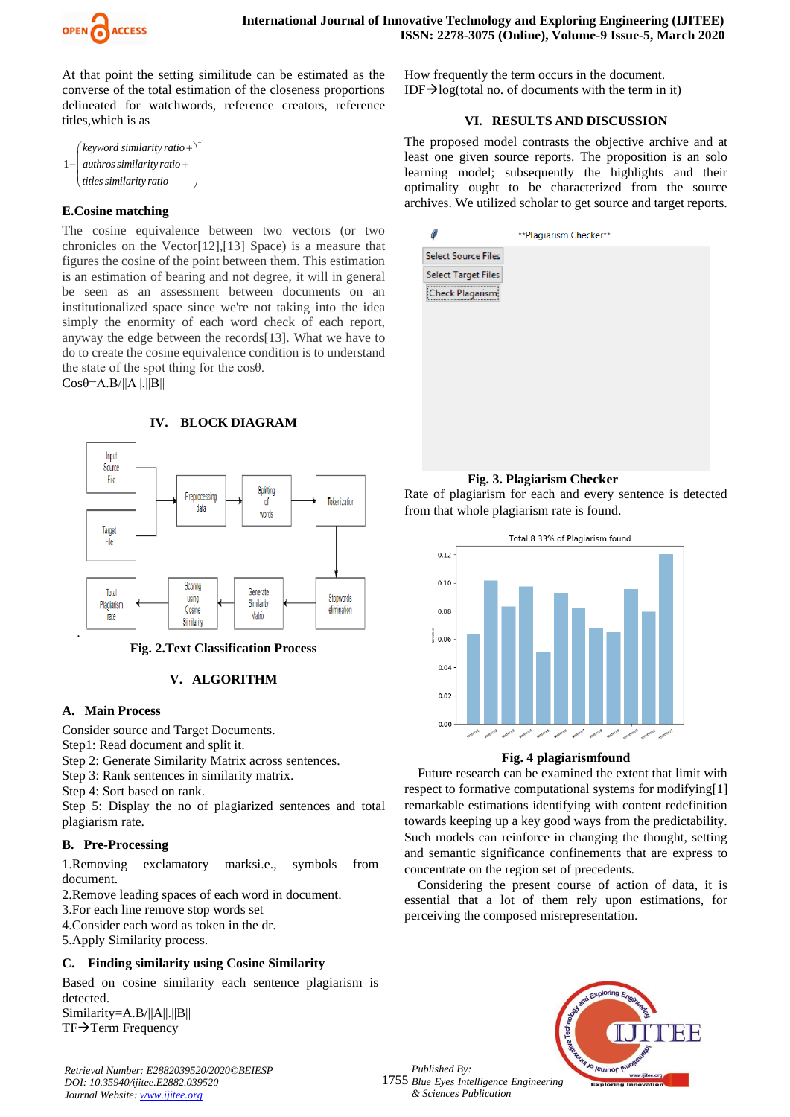

At that point the setting similitude can be estimated as the converse of the total estimation of the closeness proportions delineated for watchwords, reference creators, reference titles,which is as

| (keyword similarity ratio +) <sup>-1</sup> |  |
|--------------------------------------------|--|
| $1 - \alpha$ authros similarity ratio +    |  |
| titles similarity ratio                    |  |

## **E.Cosine matching**

The cosine equivalence between two vectors (or two chronicles on the Vector[12],[13] Space) is a measure that figures the cosine of the point between them. This estimation is an estimation of bearing and not degree, it will in general be seen as an assessment between documents on an institutionalized space since we're not taking into the idea simply the enormity of each word check of each report, anyway the edge between the records[13]. What we have to do to create the cosine equivalence condition is to understand the state of the spot thing for the cosθ.

 $Cosθ = A.B/||A||.||B||$ 



**IV. BLOCK DIAGRAM** 

## **Fig. 2.Text Classification Process**

## **V. ALGORITHM**

#### **A. Main Process**

Consider source and Target Documents.

Step1: Read document and split it.

Step 2: Generate Similarity Matrix across sentences.

Step 3: Rank sentences in similarity matrix.

Step 4: Sort based on rank.

Step 5: Display the no of plagiarized sentences and total plagiarism rate.

## **B. Pre-Processing**

1.Removing exclamatory marksi.e., symbols from document.

2.Remove leading spaces of each word in document.

3.For each line remove stop words set

4.Consider each word as token in the dr.

5.Apply Similarity process.

# **C. Finding similarity using Cosine Similarity**

Based on cosine similarity each sentence plagiarism is detected. Similarity=A.B/||A||.||B||

TF→Term Frequency

*Retrieval Number: E2882039520/2020©BEIESP DOI: 10.35940/ijitee.E2882.039520 Journal Website[: www.ijitee.org](http://www.ijitee.org/)*

How frequently the term occurs in the document. IDF $\rightarrow$ log(total no. of documents with the term in it)

## **VI. RESULTS AND DISCUSSION**

The proposed model contrasts the objective archive and at least one given source reports. The proposition is an solo learning model; subsequently the highlights and their optimality ought to be characterized from the source archives. We utilized scholar to get source and target reports.

|                            | **Plagiarism Checker** |
|----------------------------|------------------------|
| <b>Select Source Files</b> |                        |
| <b>Select Target Files</b> |                        |
| Check Plagarism            |                        |
|                            |                        |
|                            |                        |
|                            |                        |
|                            |                        |
|                            |                        |
|                            |                        |
|                            |                        |
|                            |                        |

## **Fig. 3. Plagiarism Checker**

Rate of plagiarism for each and every sentence is detected from that whole plagiarism rate is found.



## **Fig. 4 plagiarismfound**

Future research can be examined the extent that limit with respect to formative computational systems for modifying[1] remarkable estimations identifying with content redefinition towards keeping up a key good ways from the predictability. Such models can reinforce in changing the thought, setting and semantic significance confinements that are express to concentrate on the region set of precedents.

Considering the present course of action of data, it is essential that a lot of them rely upon estimations, for perceiving the composed misrepresentation.